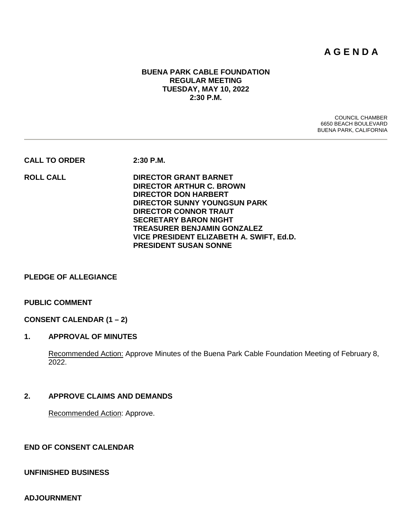# **A G E N D A**

# **BUENA PARK CABLE FOUNDATION REGULAR MEETING TUESDAY, MAY 10, 2022 2:30 P.M.**

COUNCIL CHAMBER 6650 BEACH BOULEVARD BUENA PARK, CALIFORNIA

**CALL TO ORDER 2:30 P.M.**

**ROLL CALL DIRECTOR GRANT BARNET DIRECTOR ARTHUR C. BROWN DIRECTOR DON HARBERT DIRECTOR SUNNY YOUNGSUN PARK DIRECTOR CONNOR TRAUT SECRETARY BARON NIGHT TREASURER BENJAMIN GONZALEZ VICE PRESIDENT ELIZABETH A. SWIFT, Ed.D. PRESIDENT SUSAN SONNE**

#### **PLEDGE OF ALLEGIANCE**

#### **PUBLIC COMMENT**

#### **CONSENT CALENDAR (1 – 2)**

# **1. APPROVAL OF MINUTES**

Recommended Action: Approve Minutes of the Buena Park Cable Foundation Meeting of February 8, 2022.

#### **2. APPROVE CLAIMS AND DEMANDS**

Recommended Action: Approve.

# **END OF CONSENT CALENDAR**

#### **UNFINISHED BUSINESS**

**ADJOURNMENT**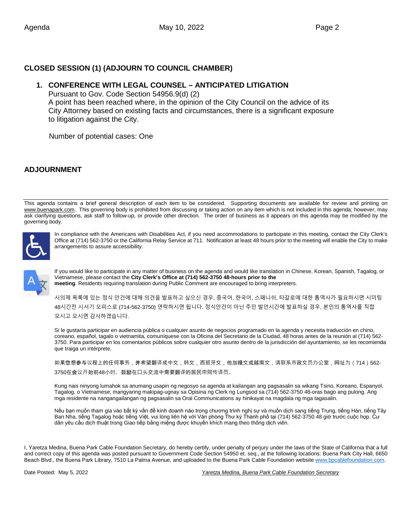# **CLOSED SESSION (1) (ADJOURN TO COUNCIL CHAMBER)**

# **1. CONFERENCE WITH LEGAL COUNSEL – ANTICIPATED LITIGATION**

 Pursuant to Gov. Code Section 54956.9(d) (2) A point has been reached where, in the opinion of the City Council on the advice of its City Attorney based on existing facts and circumstances, there is a significant exposure to litigation against the City.

Number of potential cases: One

# **ADJOURNMENT**

This agenda contains a brief general description of each item to be considered. Supporting documents are available for review and printing on [www.buenapark.com.](http://www.buenapark.com/) This governing body is prohibited from discussing or taking action on any item which is not included in this agenda; however, may ask clarifying questions, ask staff to follow-up, or provide other direction. The order of business as it appears on this agenda may be modified by the governing body.



In compliance with the Americans with Disabilities Act, if you need accommodations to participate in this meeting, contact the City Clerk's Office at (714) 562-3750 or the California Relay Service at 711. Notification at least 48 hours prior to the meeting will enable the City to make arrangements to assure accessibility.



If you would like to participate in any matter of business on the agenda and would like translation in Chinese, Korean, Spanish, Tagalog, or Vietnamese, please contact the **City Clerk's Office at (714) 562-3750 48-hours prior to the meeting**. Residents requiring translation during Public Comment are encouraged to bring interpreters.

시의제 목록에 있는 정식 안건에 대해 의견을 발표하고 싶으신 경우, 중국어, 한국어, 스패니쉬, 타갈로에 대한 통역사가 필요하시면 시미팅 48시간전 시서기 오피스로 (714-562-3750) 연락하시면 됩니다. 정식안건이 아닌 주민 발언시간에 발표하실 경우, 본인의 통역사를 직접 모시고 오시면 감사하겠습니다.

Si le gustaría participar en audiencia pública o cualquier asunto de negocios programado en la agenda y necesita traducción en chino, coreano, español, tagalo o vietnamita, comuníquese con la Oficina del Secretario de la Ciudad, 48 horas antes de la reunión al (714) 562- 3750. Para participar en los comentarios públicos sobre cualquier otro asunto dentro de la jurisdicción del ayuntamiento, se les recomienda que traiga un intérprete.

如果您想参与议程上的任何事务,并希望翻译成中文,韩文,西班牙文,他加禄文或越南文,请联系市政文员办公室,网址为(714)562-3750在会议开始前48小时。鼓励在口头交流中需要翻译的居民带同传译员。

Kung nais ninyong lumahok sa anumang usapin ng negosyo sa agenda at kailangan ang pagsasalin sa wikang Tsino, Koreano, Espanyol, Tagalog, o Vietnamese, mangyaring makipag-ugnay sa Opisina ng Clerk ng Lungsod sa (714) 562-3750 48-oras bago ang pulong. Ang mga residente na nangangailangan ng pagsasalin sa Oral Communications ay hinikayat na magdala ng mga tagasalin.

Nếu bạn muốn tham gia vào bất kỳ vấn đề kinh doanh nào trong chương trình nghị sự và muốn dịch sang tiếng Trung, tiếng Hàn, tiếng Tây Ban Nha, tiếng Tagalog hoặc tiếng Việt, vui lòng liên hệ với Văn phòng Thư ký Thành phố tại (714) 562-3750 48 giờ trước cuộc họp. Cư dân yêu cầu dịch thuật trong Giao tiếp bằng miệng được khuyến khích mang theo thông dịch viên.

I, Yaretza Medina, Buena Park Cable Foundation Secretary, do hereby certify, under penalty of perjury under the laws of the State of California that a full and correct copy of this agenda was posted pursuant to Government Code Section 54950 et. seq., at the following locations: Buena Park City Hall, 6650 Beach Blvd., the Buena Park Library, 7510 La Palma Avenue, and uploaded to the Buena Park Cable Foundation websit[e www.bpcablefoundation.com.](http://www.bpcablefoundation.com/)

Date Posted: May 5, 2022 *Yaretza Medina, Buena Park Cable Foundation Secretary*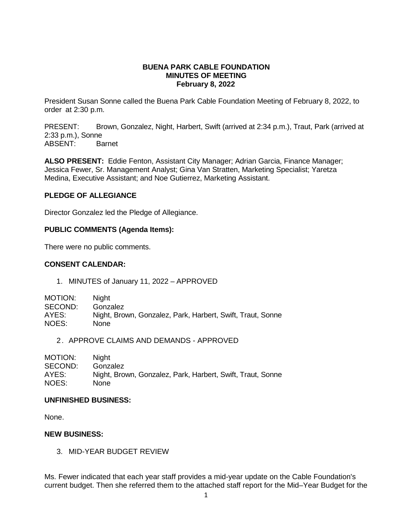### **BUENA PARK CABLE FOUNDATION MINUTES OF MEETING February 8, 2022**

President Susan Sonne called the Buena Park Cable Foundation Meeting of February 8, 2022, to order at 2:30 p.m.

PRESENT: Brown, Gonzalez, Night, Harbert, Swift (arrived at 2:34 p.m.), Traut, Park (arrived at 2:33 p.m.), Sonne ABSENT:

**ALSO PRESENT:** Eddie Fenton, Assistant City Manager; Adrian Garcia, Finance Manager; Jessica Fewer, Sr. Management Analyst; Gina Van Stratten, Marketing Specialist; Yaretza Medina, Executive Assistant; and Noe Gutierrez, Marketing Assistant.

# **PLEDGE OF ALLEGIANCE**

Director Gonzalez led the Pledge of Allegiance.

# **PUBLIC COMMENTS (Agenda Items):**

There were no public comments.

# **CONSENT CALENDAR:**

1. MINUTES of January 11, 2022 – APPROVED

| Niaht                                                      |
|------------------------------------------------------------|
| Gonzalez                                                   |
| Night, Brown, Gonzalez, Park, Harbert, Swift, Traut, Sonne |
| None.                                                      |
|                                                            |

2. APPROVE CLAIMS AND DEMANDS - APPROVED

| <b>Night</b>                                               |
|------------------------------------------------------------|
| Gonzalez                                                   |
| Night, Brown, Gonzalez, Park, Harbert, Swift, Traut, Sonne |
| None.                                                      |
|                                                            |

### **UNFINISHED BUSINESS:**

None.

# **NEW BUSINESS:**

3. MID-YEAR BUDGET REVIEW

Ms. Fewer indicated that each year staff provides a mid-year update on the Cable Foundation's current budget. Then she referred them to the attached staff report for the Mid–Year Budget for the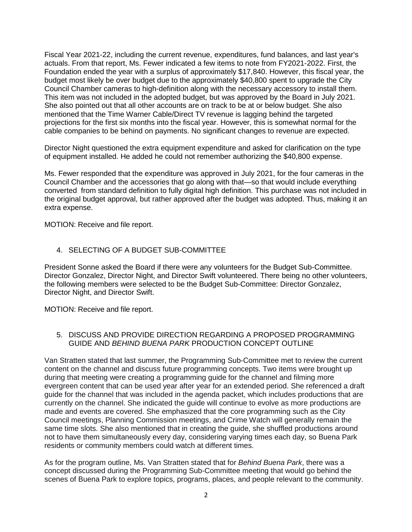Fiscal Year 2021-22, including the current revenue, expenditures, fund balances, and last year's actuals. From that report, Ms. Fewer indicated a few items to note from FY2021-2022. First, the Foundation ended the year with a surplus of approximately \$17,840. However, this fiscal year, the budget most likely be over budget due to the approximately \$40,800 spent to upgrade the City Council Chamber cameras to high-definition along with the necessary accessory to install them. This item was not included in the adopted budget, but was approved by the Board in July 2021. She also pointed out that all other accounts are on track to be at or below budget. She also mentioned that the Time Warner Cable/Direct TV revenue is lagging behind the targeted projections for the first six months into the fiscal year. However, this is somewhat normal for the cable companies to be behind on payments. No significant changes to revenue are expected.

Director Night questioned the extra equipment expenditure and asked for clarification on the type of equipment installed. He added he could not remember authorizing the \$40,800 expense.

Ms. Fewer responded that the expenditure was approved in July 2021, for the four cameras in the Council Chamber and the accessories that go along with that—so that would include everything converted from standard definition to fully digital high definition. This purchase was not included in the original budget approval, but rather approved after the budget was adopted. Thus, making it an extra expense.

MOTION: Receive and file report.

### 4. SELECTING OF A BUDGET SUB-COMMITTEE

President Sonne asked the Board if there were any volunteers for the Budget Sub-Committee. Director Gonzalez, Director Night, and Director Swift volunteered. There being no other volunteers, the following members were selected to be the Budget Sub-Committee: Director Gonzalez, Director Night, and Director Swift.

MOTION: Receive and file report.

# 5. DISCUSS AND PROVIDE DIRECTION REGARDING A PROPOSED PROGRAMMING GUIDE AND *BEHIND BUENA PARK* PRODUCTION CONCEPT OUTLINE

Van Stratten stated that last summer, the Programming Sub-Committee met to review the current content on the channel and discuss future programming concepts. Two items were brought up during that meeting were creating a programming guide for the channel and filming more evergreen content that can be used year after year for an extended period. She referenced a draft guide for the channel that was included in the agenda packet, which includes productions that are currently on the channel. She indicated the guide will continue to evolve as more productions are made and events are covered. She emphasized that the core programming such as the City Council meetings, Planning Commission meetings, and Crime Watch will generally remain the same time slots. She also mentioned that in creating the guide, she shuffled productions around not to have them simultaneously every day, considering varying times each day, so Buena Park residents or community members could watch at different times.

As for the program outline, Ms. Van Stratten stated that for *Behind Buena Park*, there was a concept discussed during the Programming Sub-Committee meeting that would go behind the scenes of Buena Park to explore topics, programs, places, and people relevant to the community.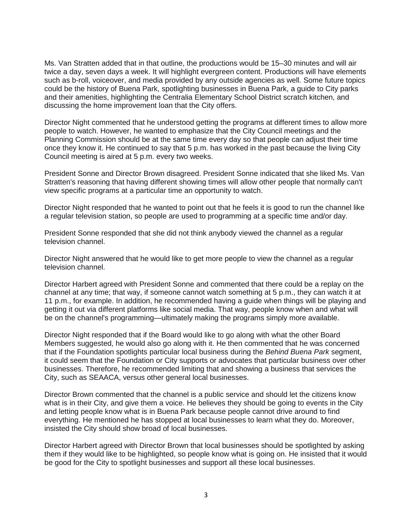Ms. Van Stratten added that in that outline, the productions would be 15–30 minutes and will air twice a day, seven days a week. It will highlight evergreen content. Productions will have elements such as b-roll, voiceover, and media provided by any outside agencies as well. Some future topics could be the history of Buena Park, spotlighting businesses in Buena Park, a guide to City parks and their amenities, highlighting the Centralia Elementary School District scratch kitchen, and discussing the home improvement loan that the City offers.

Director Night commented that he understood getting the programs at different times to allow more people to watch. However, he wanted to emphasize that the City Council meetings and the Planning Commission should be at the same time every day so that people can adjust their time once they know it. He continued to say that 5 p.m. has worked in the past because the living City Council meeting is aired at 5 p.m. every two weeks.

President Sonne and Director Brown disagreed. President Sonne indicated that she liked Ms. Van Stratten's reasoning that having different showing times will allow other people that normally can't view specific programs at a particular time an opportunity to watch.

Director Night responded that he wanted to point out that he feels it is good to run the channel like a regular television station, so people are used to programming at a specific time and/or day.

President Sonne responded that she did not think anybody viewed the channel as a regular television channel.

Director Night answered that he would like to get more people to view the channel as a regular television channel.

Director Harbert agreed with President Sonne and commented that there could be a replay on the channel at any time; that way, if someone cannot watch something at 5 p.m., they can watch it at 11 p.m., for example. In addition, he recommended having a guide when things will be playing and getting it out via different platforms like social media. That way, people know when and what will be on the channel's programming—ultimately making the programs simply more available.

Director Night responded that if the Board would like to go along with what the other Board Members suggested, he would also go along with it. He then commented that he was concerned that if the Foundation spotlights particular local business during the *Behind Buena Park* segment, it could seem that the Foundation or City supports or advocates that particular business over other businesses. Therefore, he recommended limiting that and showing a business that services the City, such as SEAACA, versus other general local businesses.

Director Brown commented that the channel is a public service and should let the citizens know what is in their City, and give them a voice. He believes they should be going to events in the City and letting people know what is in Buena Park because people cannot drive around to find everything. He mentioned he has stopped at local businesses to learn what they do. Moreover, insisted the City should show broad of local businesses.

Director Harbert agreed with Director Brown that local businesses should be spotlighted by asking them if they would like to be highlighted, so people know what is going on. He insisted that it would be good for the City to spotlight businesses and support all these local businesses.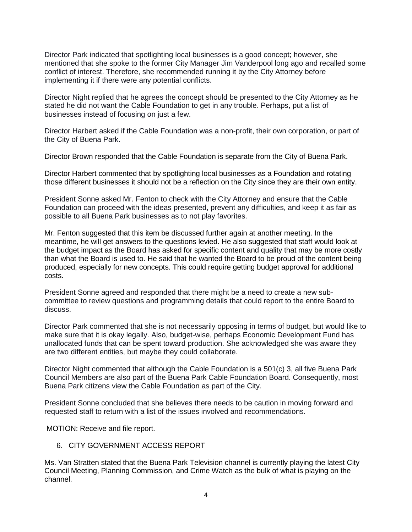Director Park indicated that spotlighting local businesses is a good concept; however, she mentioned that she spoke to the former City Manager Jim Vanderpool long ago and recalled some conflict of interest. Therefore, she recommended running it by the City Attorney before implementing it if there were any potential conflicts.

Director Night replied that he agrees the concept should be presented to the City Attorney as he stated he did not want the Cable Foundation to get in any trouble. Perhaps, put a list of businesses instead of focusing on just a few.

Director Harbert asked if the Cable Foundation was a non-profit, their own corporation, or part of the City of Buena Park.

Director Brown responded that the Cable Foundation is separate from the City of Buena Park.

Director Harbert commented that by spotlighting local businesses as a Foundation and rotating those different businesses it should not be a reflection on the City since they are their own entity.

President Sonne asked Mr. Fenton to check with the City Attorney and ensure that the Cable Foundation can proceed with the ideas presented, prevent any difficulties, and keep it as fair as possible to all Buena Park businesses as to not play favorites.

Mr. Fenton suggested that this item be discussed further again at another meeting. In the meantime, he will get answers to the questions levied. He also suggested that staff would look at the budget impact as the Board has asked for specific content and quality that may be more costly than what the Board is used to. He said that he wanted the Board to be proud of the content being produced, especially for new concepts. This could require getting budget approval for additional costs.

President Sonne agreed and responded that there might be a need to create a new subcommittee to review questions and programming details that could report to the entire Board to discuss.

Director Park commented that she is not necessarily opposing in terms of budget, but would like to make sure that it is okay legally. Also, budget-wise, perhaps Economic Development Fund has unallocated funds that can be spent toward production. She acknowledged she was aware they are two different entities, but maybe they could collaborate.

Director Night commented that although the Cable Foundation is a 501(c) 3, all five Buena Park Council Members are also part of the Buena Park Cable Foundation Board. Consequently, most Buena Park citizens view the Cable Foundation as part of the City.

President Sonne concluded that she believes there needs to be caution in moving forward and requested staff to return with a list of the issues involved and recommendations.

MOTION: Receive and file report.

### 6. CITY GOVERNMENT ACCESS REPORT

Ms. Van Stratten stated that the Buena Park Television channel is currently playing the latest City Council Meeting, Planning Commission, and Crime Watch as the bulk of what is playing on the channel.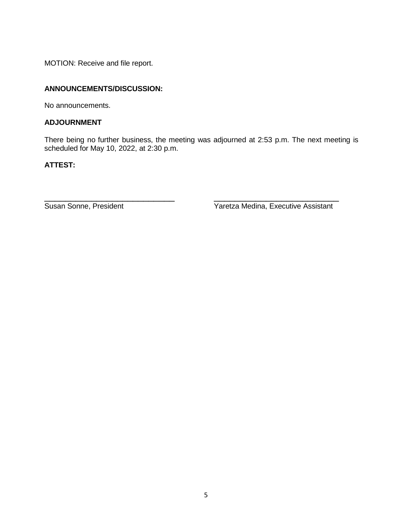MOTION: Receive and file report.

# **ANNOUNCEMENTS/DISCUSSION:**

No announcements.

# **ADJOURNMENT**

There being no further business, the meeting was adjourned at 2:53 p.m. The next meeting is scheduled for May 10, 2022, at 2:30 p.m.

# **ATTEST:**

\_\_\_\_\_\_\_\_\_\_\_\_\_\_\_\_\_\_\_\_\_\_\_\_\_ \_\_\_\_\_\_\_\_\_\_\_\_\_\_\_\_\_\_\_\_\_\_\_\_ Susan Sonne, President **Yaretza Medina, Executive Assistant**